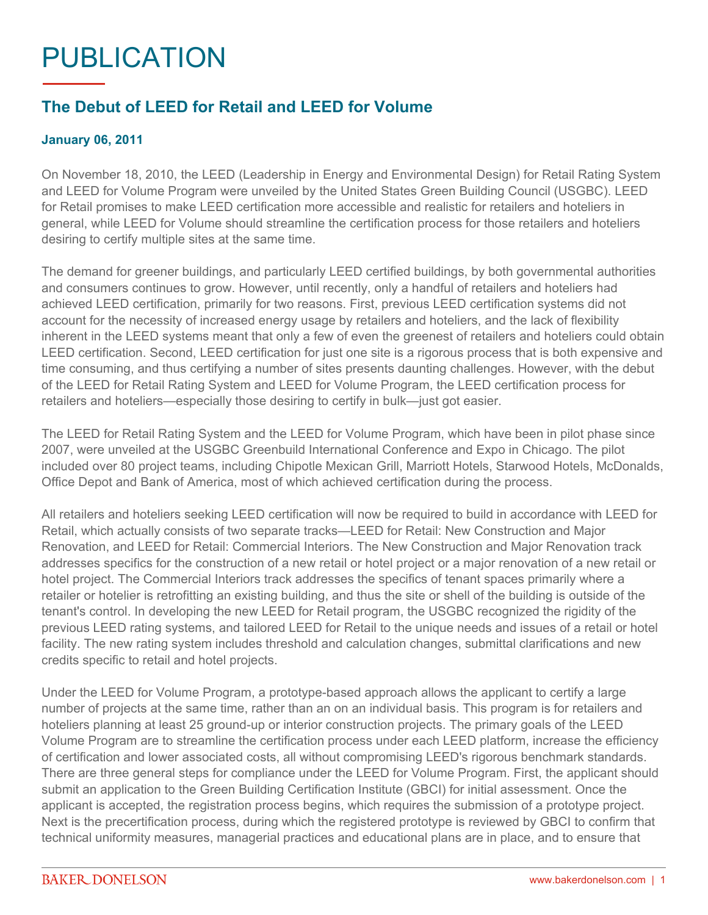## PUBLICATION

## **The Debut of LEED for Retail and LEED for Volume**

## **January 06, 2011**

On November 18, 2010, the LEED (Leadership in Energy and Environmental Design) for Retail Rating System and LEED for Volume Program were unveiled by the United States Green Building Council (USGBC). LEED for Retail promises to make LEED certification more accessible and realistic for retailers and hoteliers in general, while LEED for Volume should streamline the certification process for those retailers and hoteliers desiring to certify multiple sites at the same time.

The demand for greener buildings, and particularly LEED certified buildings, by both governmental authorities and consumers continues to grow. However, until recently, only a handful of retailers and hoteliers had achieved LEED certification, primarily for two reasons. First, previous LEED certification systems did not account for the necessity of increased energy usage by retailers and hoteliers, and the lack of flexibility inherent in the LEED systems meant that only a few of even the greenest of retailers and hoteliers could obtain LEED certification. Second, LEED certification for just one site is a rigorous process that is both expensive and time consuming, and thus certifying a number of sites presents daunting challenges. However, with the debut of the LEED for Retail Rating System and LEED for Volume Program, the LEED certification process for retailers and hoteliers—especially those desiring to certify in bulk—just got easier.

The LEED for Retail Rating System and the LEED for Volume Program, which have been in pilot phase since 2007, were unveiled at the USGBC Greenbuild International Conference and Expo in Chicago. The pilot included over 80 project teams, including Chipotle Mexican Grill, Marriott Hotels, Starwood Hotels, McDonalds, Office Depot and Bank of America, most of which achieved certification during the process.

All retailers and hoteliers seeking LEED certification will now be required to build in accordance with LEED for Retail, which actually consists of two separate tracks—LEED for Retail: New Construction and Major Renovation, and LEED for Retail: Commercial Interiors. The New Construction and Major Renovation track addresses specifics for the construction of a new retail or hotel project or a major renovation of a new retail or hotel project. The Commercial Interiors track addresses the specifics of tenant spaces primarily where a retailer or hotelier is retrofitting an existing building, and thus the site or shell of the building is outside of the tenant's control. In developing the new LEED for Retail program, the USGBC recognized the rigidity of the previous LEED rating systems, and tailored LEED for Retail to the unique needs and issues of a retail or hotel facility. The new rating system includes threshold and calculation changes, submittal clarifications and new credits specific to retail and hotel projects.

Under the LEED for Volume Program, a prototype-based approach allows the applicant to certify a large number of projects at the same time, rather than an on an individual basis. This program is for retailers and hoteliers planning at least 25 ground-up or interior construction projects. The primary goals of the LEED Volume Program are to streamline the certification process under each LEED platform, increase the efficiency of certification and lower associated costs, all without compromising LEED's rigorous benchmark standards. There are three general steps for compliance under the LEED for Volume Program. First, the applicant should submit an application to the Green Building Certification Institute (GBCI) for initial assessment. Once the applicant is accepted, the registration process begins, which requires the submission of a prototype project. Next is the precertification process, during which the registered prototype is reviewed by GBCI to confirm that technical uniformity measures, managerial practices and educational plans are in place, and to ensure that